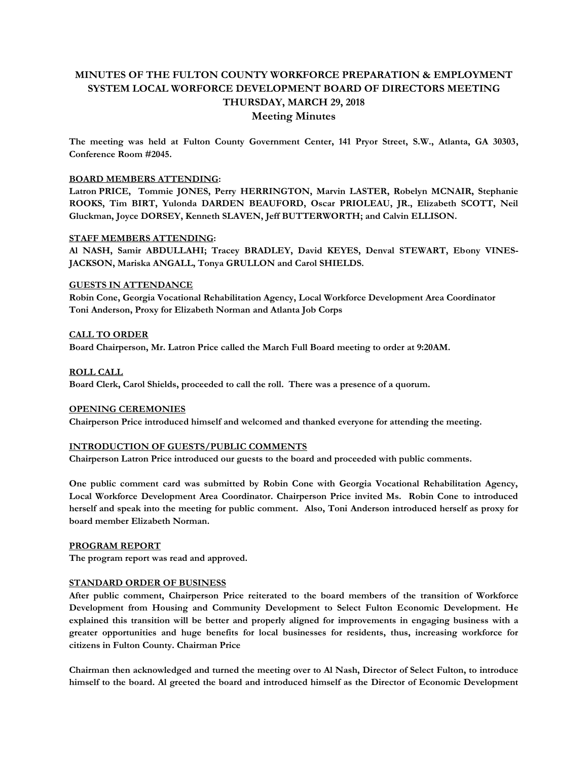# **MINUTES OF THE FULTON COUNTY WORKFORCE PREPARATION & EMPLOYMENT SYSTEM LOCAL WORFORCE DEVELOPMENT BOARD OF DIRECTORS MEETING THURSDAY, MARCH 29, 2018**

# **Meeting Minutes**

**The meeting was held at Fulton County Government Center, 141 Pryor Street, S.W., Atlanta, GA 30303, Conference Room #2045.** 

## **BOARD MEMBERS ATTENDING:**

**Latron PRICE, Tommie JONES, Perry HERRINGTON, Marvin LASTER, Robelyn MCNAIR, Stephanie ROOKS, Tim BIRT, Yulonda DARDEN BEAUFORD, Oscar PRIOLEAU, JR., Elizabeth SCOTT, Neil Gluckman, Joyce DORSEY, Kenneth SLAVEN, Jeff BUTTERWORTH; and Calvin ELLISON.** 

## **STAFF MEMBERS ATTENDING:**

**Al NASH, Samir ABDULLAHI; Tracey BRADLEY, David KEYES, Denval STEWART, Ebony VINES-JACKSON, Mariska ANGALL, Tonya GRULLON and Carol SHIELDS.**

## **GUESTS IN ATTENDANCE**

**Robin Cone, Georgia Vocational Rehabilitation Agency, Local Workforce Development Area Coordinator Toni Anderson, Proxy for Elizabeth Norman and Atlanta Job Corps** 

**CALL TO ORDER Board Chairperson, Mr. Latron Price called the March Full Board meeting to order at 9:20AM.** 

## **ROLL CALL**

**Board Clerk, Carol Shields, proceeded to call the roll. There was a presence of a quorum.** 

# **OPENING CEREMONIES**

**Chairperson Price introduced himself and welcomed and thanked everyone for attending the meeting.** 

# **INTRODUCTION OF GUESTS/PUBLIC COMMENTS**

**Chairperson Latron Price introduced our guests to the board and proceeded with public comments.**

**One public comment card was submitted by Robin Cone with Georgia Vocational Rehabilitation Agency, Local Workforce Development Area Coordinator. Chairperson Price invited Ms. Robin Cone to introduced herself and speak into the meeting for public comment. Also, Toni Anderson introduced herself as proxy for board member Elizabeth Norman.** 

#### **PROGRAM REPORT**

**The program report was read and approved.**

#### **STANDARD ORDER OF BUSINESS**

**After public comment, Chairperson Price reiterated to the board members of the transition of Workforce Development from Housing and Community Development to Select Fulton Economic Development. He explained this transition will be better and properly aligned for improvements in engaging business with a greater opportunities and huge benefits for local businesses for residents, thus, increasing workforce for citizens in Fulton County. Chairman Price** 

**Chairman then acknowledged and turned the meeting over to Al Nash, Director of Select Fulton, to introduce himself to the board. Al greeted the board and introduced himself as the Director of Economic Development**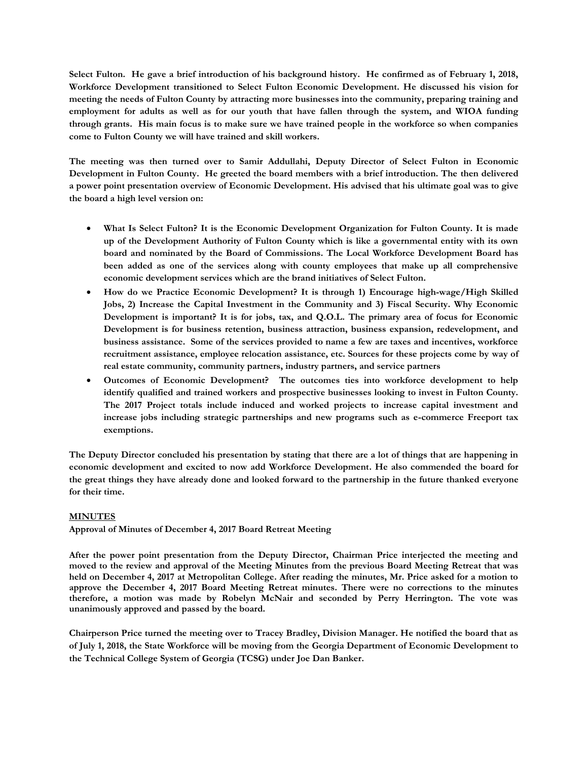**Select Fulton. He gave a brief introduction of his background history. He confirmed as of February 1, 2018, Workforce Development transitioned to Select Fulton Economic Development. He discussed his vision for meeting the needs of Fulton County by attracting more businesses into the community, preparing training and employment for adults as well as for our youth that have fallen through the system, and WIOA funding through grants. His main focus is to make sure we have trained people in the workforce so when companies come to Fulton County we will have trained and skill workers.** 

**The meeting was then turned over to Samir Addullahi, Deputy Director of Select Fulton in Economic Development in Fulton County. He greeted the board members with a brief introduction. The then delivered a power point presentation overview of Economic Development. His advised that his ultimate goal was to give the board a high level version on:** 

- **What Is Select Fulton? It is the Economic Development Organization for Fulton County. It is made up of the Development Authority of Fulton County which is like a governmental entity with its own board and nominated by the Board of Commissions. The Local Workforce Development Board has been added as one of the services along with county employees that make up all comprehensive economic development services which are the brand initiatives of Select Fulton.**
- **How do we Practice Economic Development? It is through 1) Encourage high-wage/High Skilled Jobs, 2) Increase the Capital Investment in the Community and 3) Fiscal Security. Why Economic Development is important? It is for jobs, tax, and Q.O.L. The primary area of focus for Economic Development is for business retention, business attraction, business expansion, redevelopment, and business assistance. Some of the services provided to name a few are taxes and incentives, workforce recruitment assistance, employee relocation assistance, etc. Sources for these projects come by way of real estate community, community partners, industry partners, and service partners**
- **Outcomes of Economic Development? The outcomes ties into workforce development to help identify qualified and trained workers and prospective businesses looking to invest in Fulton County. The 2017 Project totals include induced and worked projects to increase capital investment and increase jobs including strategic partnerships and new programs such as e-commerce Freeport tax exemptions.**

**The Deputy Director concluded his presentation by stating that there are a lot of things that are happening in economic development and excited to now add Workforce Development. He also commended the board for the great things they have already done and looked forward to the partnership in the future thanked everyone for their time.** 

# **MINUTES**

**Approval of Minutes of December 4, 2017 Board Retreat Meeting**

**After the power point presentation from the Deputy Director, Chairman Price interjected the meeting and moved to the review and approval of the Meeting Minutes from the previous Board Meeting Retreat that was held on December 4, 2017 at Metropolitan College. After reading the minutes, Mr. Price asked for a motion to approve the December 4, 2017 Board Meeting Retreat minutes. There were no corrections to the minutes therefore, a motion was made by Robelyn McNair and seconded by Perry Herrington. The vote was unanimously approved and passed by the board.** 

**Chairperson Price turned the meeting over to Tracey Bradley, Division Manager. He notified the board that as of July 1, 2018, the State Workforce will be moving from the Georgia Department of Economic Development to the Technical College System of Georgia (TCSG) under Joe Dan Banker.**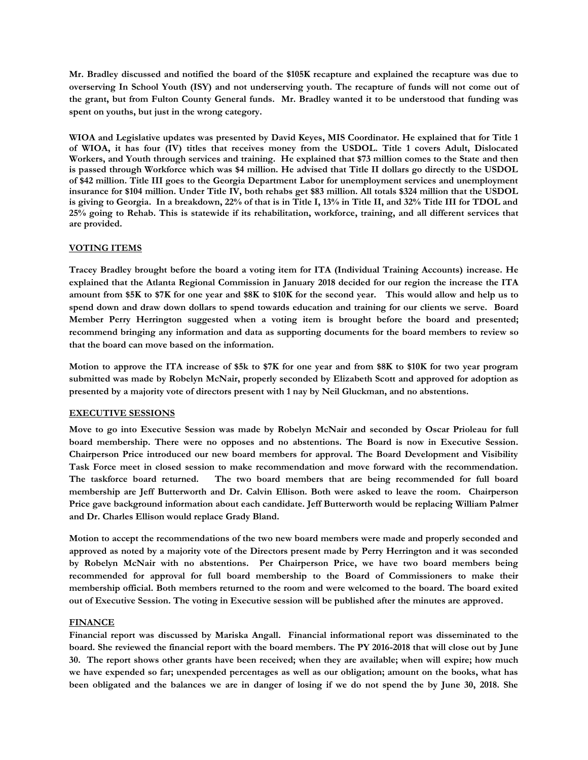**Mr. Bradley discussed and notified the board of the \$105K recapture and explained the recapture was due to overserving In School Youth (ISY) and not underserving youth. The recapture of funds will not come out of the grant, but from Fulton County General funds. Mr. Bradley wanted it to be understood that funding was spent on youths, but just in the wrong category.** 

**WIOA and Legislative updates was presented by David Keyes, MIS Coordinator. He explained that for Title 1 of WIOA, it has four (IV) titles that receives money from the USDOL. Title 1 covers Adult, Dislocated Workers, and Youth through services and training. He explained that \$73 million comes to the State and then is passed through Workforce which was \$4 million. He advised that Title II dollars go directly to the USDOL of \$42 million. Title III goes to the Georgia Department Labor for unemployment services and unemployment insurance for \$104 million. Under Title IV, both rehabs get \$83 million. All totals \$324 million that the USDOL is giving to Georgia. In a breakdown, 22% of that is in Title I, 13% in Title II, and 32% Title III for TDOL and 25% going to Rehab. This is statewide if its rehabilitation, workforce, training, and all different services that are provided.** 

# **VOTING ITEMS**

**Tracey Bradley brought before the board a voting item for ITA (Individual Training Accounts) increase. He explained that the Atlanta Regional Commission in January 2018 decided for our region the increase the ITA amount from \$5K to \$7K for one year and \$8K to \$10K for the second year. This would allow and help us to spend down and draw down dollars to spend towards education and training for our clients we serve. Board Member Perry Herrington suggested when a voting item is brought before the board and presented; recommend bringing any information and data as supporting documents for the board members to review so that the board can move based on the information.** 

**Motion to approve the ITA increase of \$5k to \$7K for one year and from \$8K to \$10K for two year program submitted was made by Robelyn McNair, properly seconded by Elizabeth Scott and approved for adoption as presented by a majority vote of directors present with 1 nay by Neil Gluckman, and no abstentions.**

# **EXECUTIVE SESSIONS**

**Move to go into Executive Session was made by Robelyn McNair and seconded by Oscar Prioleau for full board membership. There were no opposes and no abstentions. The Board is now in Executive Session. Chairperson Price introduced our new board members for approval. The Board Development and Visibility Task Force meet in closed session to make recommendation and move forward with the recommendation. The taskforce board returned. The two board members that are being recommended for full board membership are Jeff Butterworth and Dr. Calvin Ellison. Both were asked to leave the room. Chairperson Price gave background information about each candidate. Jeff Butterworth would be replacing William Palmer and Dr. Charles Ellison would replace Grady Bland.** 

**Motion to accept the recommendations of the two new board members were made and properly seconded and approved as noted by a majority vote of the Directors present made by Perry Herrington and it was seconded by Robelyn McNair with no abstentions. Per Chairperson Price, we have two board members being recommended for approval for full board membership to the Board of Commissioners to make their membership official. Both members returned to the room and were welcomed to the board. The board exited out of Executive Session. The voting in Executive session will be published after the minutes are approved.**

#### **FINANCE**

**Financial report was discussed by Mariska Angall. Financial informational report was disseminated to the board. She reviewed the financial report with the board members. The PY 2016-2018 that will close out by June 30. The report shows other grants have been received; when they are available; when will expire; how much we have expended so far; unexpended percentages as well as our obligation; amount on the books, what has been obligated and the balances we are in danger of losing if we do not spend the by June 30, 2018. She**